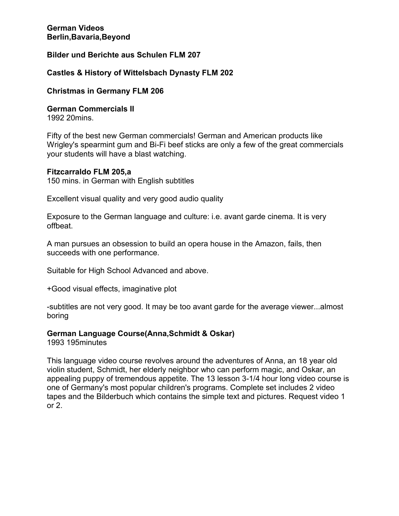## **Bilder und Berichte aus Schulen FLM 207**

## **Castles & History of Wittelsbach Dynasty FLM 202**

## **Christmas in Germany FLM 206**

**German Commercials II** 

1992 20mins.

Fifty of the best new German commercials! German and American products like Wrigley's spearmint gum and Bi-Fi beef sticks are only a few of the great commercials your students will have a blast watching.

#### **Fitzcarraldo FLM 205,a**

150 mins. in German with English subtitles

Excellent visual quality and very good audio quality

Exposure to the German language and culture: i.e. avant garde cinema. It is very offbeat.

A man pursues an obsession to build an opera house in the Amazon, fails, then succeeds with one performance.

Suitable for High School Advanced and above.

+Good visual effects, imaginative plot

-subtitles are not very good. It may be too avant garde for the average viewer...almost boring

# **German Language Course(Anna,Schmidt & Oskar)**

1993 195minutes

This language video course revolves around the adventures of Anna, an 18 year old violin student, Schmidt, her elderly neighbor who can perform magic, and Oskar, an appealing puppy of tremendous appetite. The 13 lesson 3-1/4 hour long video course is one of Germany's most popular children's programs. Complete set includes 2 video tapes and the Bilderbuch which contains the simple text and pictures. Request video 1 or 2.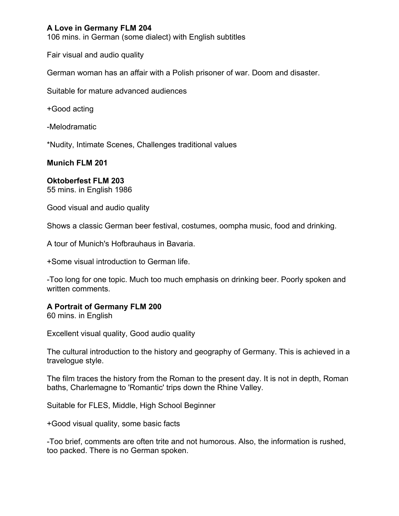# **A Love in Germany FLM 204**

106 mins. in German (some dialect) with English subtitles

Fair visual and audio quality

German woman has an affair with a Polish prisoner of war. Doom and disaster.

Suitable for mature advanced audiences

+Good acting

-Melodramatic

\*Nudity, Intimate Scenes, Challenges traditional values

**Munich FLM 201** 

#### **Oktoberfest FLM 203**

55 mins. in English 1986

Good visual and audio quality

Shows a classic German beer festival, costumes, oompha music, food and drinking.

A tour of Munich's Hofbrauhaus in Bavaria.

+Some visual introduction to German life.

-Too long for one topic. Much too much emphasis on drinking beer. Poorly spoken and written comments.

### **A Portrait of Germany FLM 200**

60 mins. in English

Excellent visual quality, Good audio quality

The cultural introduction to the history and geography of Germany. This is achieved in a travelogue style.

The film traces the history from the Roman to the present day. It is not in depth, Roman baths, Charlemagne to 'Romantic' trips down the Rhine Valley.

Suitable for FLES, Middle, High School Beginner

+Good visual quality, some basic facts

-Too brief, comments are often trite and not humorous. Also, the information is rushed, too packed. There is no German spoken.